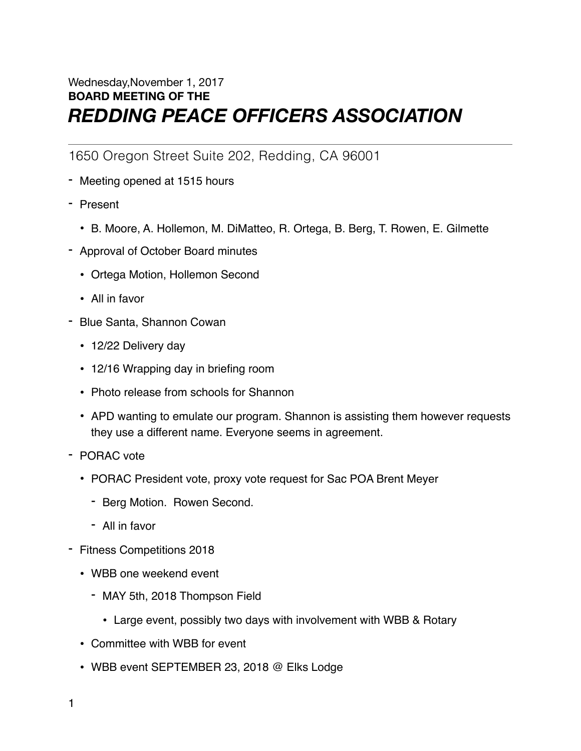## Wednesday,November 1, 2017 **BOARD MEETING OF THE**  *REDDING PEACE OFFICERS ASSOCIATION*

1650 Oregon Street Suite 202, Redding, CA 96001

- Meeting opened at 1515 hours
- Present
	- B. Moore, A. Hollemon, M. DiMatteo, R. Ortega, B. Berg, T. Rowen, E. Gilmette
- Approval of October Board minutes
	- Ortega Motion, Hollemon Second
	- All in favor
- Blue Santa, Shannon Cowan
	- 12/22 Delivery day
	- 12/16 Wrapping day in briefing room
	- Photo release from schools for Shannon
	- APD wanting to emulate our program. Shannon is assisting them however requests they use a different name. Everyone seems in agreement.
- PORAC vote
	- PORAC President vote, proxy vote request for Sac POA Brent Meyer
		- Berg Motion. Rowen Second.
		- All in favor
- Fitness Competitions 2018
	- WBB one weekend event
		- MAY 5th, 2018 Thompson Field
			- Large event, possibly two days with involvement with WBB & Rotary
	- Committee with WBB for event
	- WBB event SEPTEMBER 23, 2018 @ Elks Lodge